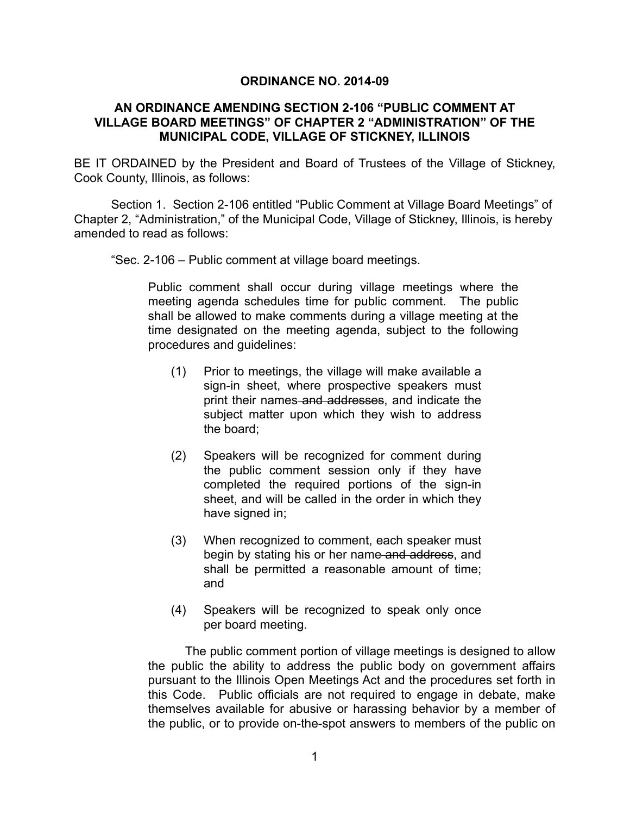## **ORDINANCE NO. 2014-09**

## **AN ORDINANCE AMENDING SECTION 2-106 "PUBLIC COMMENT AT VILLAGE BOARD MEETINGS" OF CHAPTER 2 "ADMINISTRATION" OF THE MUNICIPAL CODE, VILLAGE OF STICKNEY, ILLINOIS**

BE IT ORDAINED by the President and Board of Trustees of the Village of Stickney, Cook County, Illinois, as follows:

Section 1. Section 2-106 entitled "Public Comment at Village Board Meetings" of Chapter 2, "Administration," of the Municipal Code, Village of Stickney, Illinois, is hereby amended to read as follows:

"Sec. 2-106 – Public comment at village board meetings.

Public comment shall occur during village meetings where the meeting agenda schedules time for public comment. The public shall be allowed to make comments during a village meeting at the time designated on the meeting agenda, subject to the following procedures and guidelines:

- (1) Prior to meetings, the village will make available a sign-in sheet, where prospective speakers must print their names and addresses, and indicate the subject matter upon which they wish to address the board;
- (2) Speakers will be recognized for comment during the public comment session only if they have completed the required portions of the sign-in sheet, and will be called in the order in which they have signed in;
- (3) When recognized to comment, each speaker must begin by stating his or her name and address, and shall be permitted a reasonable amount of time; and
- (4) Speakers will be recognized to speak only once per board meeting.

 The public comment portion of village meetings is designed to allow the public the ability to address the public body on government affairs pursuant to the Illinois Open Meetings Act and the procedures set forth in this Code. Public officials are not required to engage in debate, make themselves available for abusive or harassing behavior by a member of the public, or to provide on-the-spot answers to members of the public on